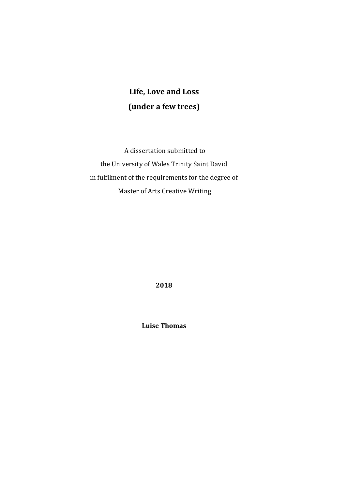# **Life, Love and Loss (under a few trees)**

A dissertation submitted to the University of Wales Trinity Saint David in fulfilment of the requirements for the degree of Master of Arts Creative Writing

**2018**

**Luise Thomas**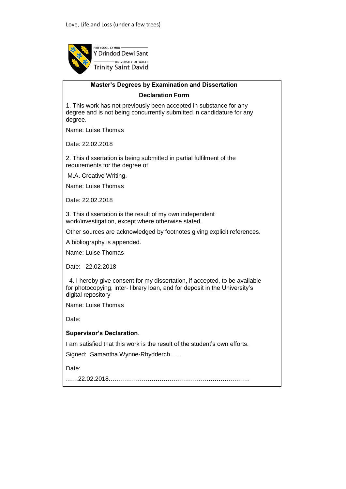

## **Master's Degrees by Examination and Dissertation**

**Declaration Form**

1. This work has not previously been accepted in substance for any degree and is not being concurrently submitted in candidature for any degree.

Name: Luise Thomas

Date: 22.02.2018

2. This dissertation is being submitted in partial fulfilment of the requirements for the degree of

M.A. Creative Writing.

Name: Luise Thomas

Date: 22.02.2018

3. This dissertation is the result of my own independent work/investigation, except where otherwise stated.

Other sources are acknowledged by footnotes giving explicit references.

A bibliography is appended.

Name: Luise Thomas

Date: 22.02.2018

 4. I hereby give consent for my dissertation, if accepted, to be available for photocopying, inter- library loan, and for deposit in the University's digital repository

Name: Luise Thomas

Date:

#### **Supervisor's Declaration**.

I am satisfied that this work is the result of the student's own efforts.

Signed: Samantha Wynne-Rhydderch……

Date:

……22.02.2018……………………………………………………………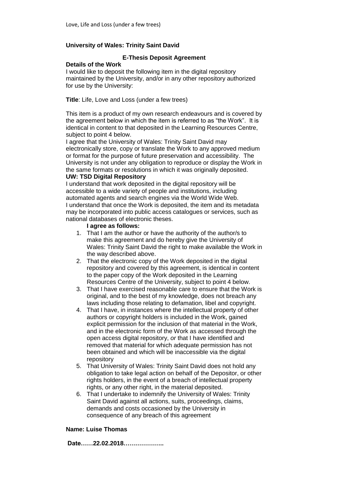#### **University of Wales: Trinity Saint David**

#### **E-Thesis Deposit Agreement**

#### **Details of the Work**

I would like to deposit the following item in the digital repository maintained by the University, and/or in any other repository authorized for use by the University:

**Title**: Life, Love and Loss (under a few trees)

This item is a product of my own research endeavours and is covered by the agreement below in which the item is referred to as "the Work". It is identical in content to that deposited in the Learning Resources Centre, subject to point 4 below.

I agree that the University of Wales: Trinity Saint David may electronically store, copy or translate the Work to any approved medium or format for the purpose of future preservation and accessibility. The University is not under any obligation to reproduce or display the Work in the same formats or resolutions in which it was originally deposited.

#### **UW: TSD Digital Repository**

I understand that work deposited in the digital repository will be accessible to a wide variety of people and institutions, including automated agents and search engines via the World Wide Web. I understand that once the Work is deposited, the item and its metadata may be incorporated into public access catalogues or services, such as national databases of electronic theses.

#### **I agree as follows:**

- 1. That I am the author or have the authority of the author/s to make this agreement and do hereby give the University of Wales: Trinity Saint David the right to make available the Work in the way described above.
- 2. That the electronic copy of the Work deposited in the digital repository and covered by this agreement, is identical in content to the paper copy of the Work deposited in the Learning Resources Centre of the University, subject to point 4 below.
- 3. That I have exercised reasonable care to ensure that the Work is original, and to the best of my knowledge, does not breach any laws including those relating to defamation, libel and copyright.
- 4. That I have, in instances where the intellectual property of other authors or copyright holders is included in the Work, gained explicit permission for the inclusion of that material in the Work, and in the electronic form of the Work as accessed through the open access digital repository, *or* that I have identified and removed that material for which adequate permission has not been obtained and which will be inaccessible via the digital repository
- 5. That University of Wales: Trinity Saint David does not hold any obligation to take legal action on behalf of the Depositor, or other rights holders, in the event of a breach of intellectual property rights, or any other right, in the material deposited.
- 6. That I undertake to indemnify the University of Wales: Trinity Saint David against all actions, suits, proceedings, claims, demands and costs occasioned by the University in consequence of any breach of this agreement

#### **Name: Luise Thomas**

**Date……22.02.2018………………..**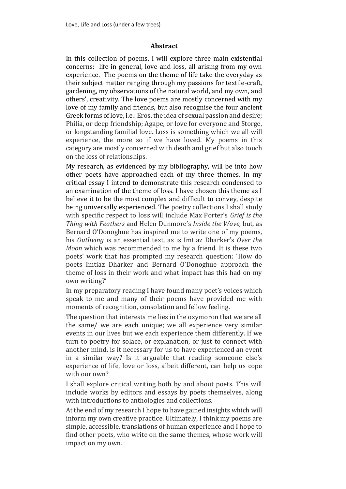#### **Abstract**

In this collection of poems, I will explore three main existential concerns: life in general, love and loss, all arising from my own experience. The poems on the theme of life take the everyday as their subject matter ranging through my passions for textile-craft, gardening, my observations of the natural world, and my own, and others', creativity. The love poems are mostly concerned with my love of my family and friends, but also recognise the four ancient Greek forms of love, i.e.: Eros, the idea of sexual passion and desire; Philia, or deep friendship; Agape, or love for everyone and Storge, or longstanding familial love. Loss is something which we all will experience, the more so if we have loved. My poems in this category are mostly concerned with death and grief but also touch on the loss of relationships.

My research, as evidenced by my bibliography, will be into how other poets have approached each of my three themes. In my critical essay I intend to demonstrate this research condensed to an examination of the theme of loss. I have chosen this theme as I believe it to be the most complex and difficult to convey, despite being universally experienced. The poetry collections I shall study with specific respect to loss will include Max Porter's *Grief is the Thing with Feathers* and Helen Dunmore's *Inside the Wave,* but, as Bernard O'Donoghue has inspired me to write one of my poems, his *Outliving* is an essential text, as is Imtiaz Dharker's *Over the Moon* which was recommended to me by a friend. It is these two poets' work that has prompted my research question: 'How do poets Imtiaz Dharker and Bernard O'Donoghue approach the theme of loss in their work and what impact has this had on my own writing?'

In my preparatory reading I have found many poet's voices which speak to me and many of their poems have provided me with moments of recognition, consolation and fellow feeling.

The question that interests me lies in the oxymoron that we are all the same/ we are each unique; we all experience very similar events in our lives but we each experience them differently. If we turn to poetry for solace, or explanation, or just to connect with another mind, is it necessary for us to have experienced an event in a similar way? Is it arguable that reading someone else's experience of life, love or loss, albeit different, can help us cope with our own?

I shall explore critical writing both by and about poets. This will include works by editors and essays by poets themselves, along with introductions to anthologies and collections.

At the end of my research I hope to have gained insights which will inform my own creative practice. Ultimately, I think my poems are simple, accessible, translations of human experience and I hope to find other poets, who write on the same themes, whose work will impact on my own.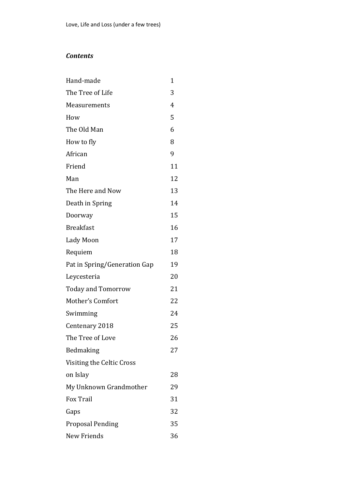## *Contents*

| Hand-made                    | 1  |
|------------------------------|----|
| The Tree of Life             | 3  |
| Measurements                 | 4  |
| How                          | 5  |
| The Old Man                  | 6  |
| How to fly                   | 8  |
| African                      | 9  |
| Friend                       | 11 |
| Man                          | 12 |
| The Here and Now             | 13 |
| Death in Spring              | 14 |
| Doorway                      | 15 |
| <b>Breakfast</b>             | 16 |
| Lady Moon                    | 17 |
| Requiem                      | 18 |
| Pat in Spring/Generation Gap | 19 |
| Leycesteria                  | 20 |
| <b>Today and Tomorrow</b>    | 21 |
| Mother's Comfort             | 22 |
| Swimming                     | 24 |
| Centenary 2018               | 25 |
| The Tree of Love             | 26 |
| Bedmaking                    | 27 |
| Visiting the Celtic Cross    |    |
| on Islay                     | 28 |
| My Unknown Grandmother       | 29 |
| <b>Fox Trail</b>             | 31 |
| Gaps                         | 32 |
| <b>Proposal Pending</b>      | 35 |
| New Friends                  | 36 |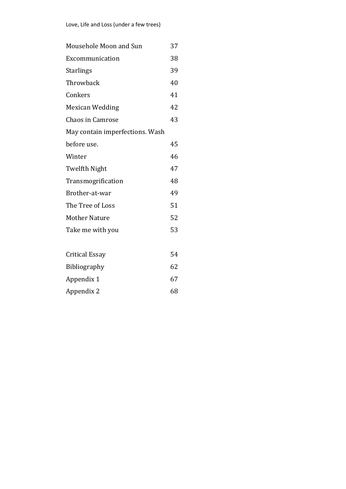| Mousehole Moon and Sun          | 37 |
|---------------------------------|----|
| Excommunication                 | 38 |
| <b>Starlings</b>                | 39 |
| Throwback                       | 40 |
| Conkers                         | 41 |
| Mexican Wedding                 | 42 |
| <b>Chaos in Camrose</b>         | 43 |
| May contain imperfections. Wash |    |
| before use.                     | 45 |
| Winter                          | 46 |
| Twelfth Night                   | 47 |
| Transmogrification              | 48 |
| Brother-at-war                  | 49 |
| The Tree of Loss                | 51 |
| <b>Mother Nature</b>            | 52 |
| Take me with you                | 53 |
|                                 |    |
| Critical Essay                  | 54 |
| <b>Bibliography</b>             | 62 |
| Appendix 1                      | 67 |

Appendix 2 68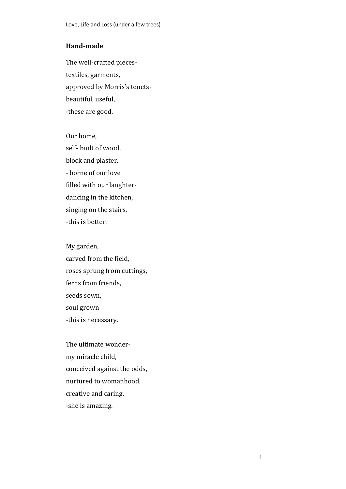#### **Hand-made**

The well-crafted piecestextiles, garments, approved by Morris's tenetsbeautiful, useful, -these are good.

Our home, self- built of wood, block and plaster, - borne of our love filled with our laughterdancing in the kitchen, singing on the stairs, -this is better.

My garden, carved from the field, roses sprung from cuttings, ferns from friends, seeds sown, soul grown -this is necessary.

The ultimate wondermy miracle child, conceived against the odds, nurtured to womanhood, creative and caring, -she is amazing.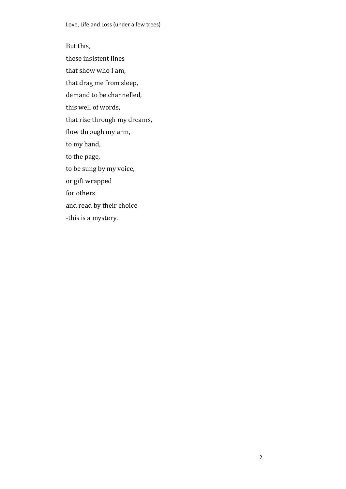But this, these insistent lines that show who I am, that drag me from sleep, demand to be channelled, this well of words, that rise through my dreams, flow through my arm, to my hand, to the page, to be sung by my voice, or gift wrapped for others and read by their choice -this is a mystery.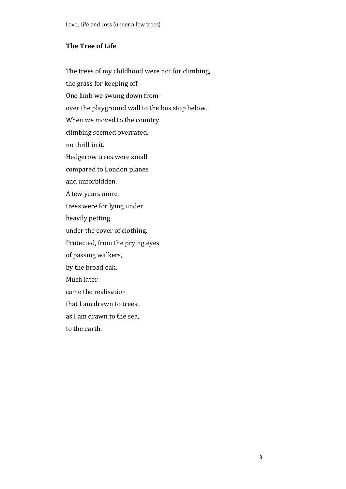#### **The Tree of Life**

The trees of my childhood were not for climbing, the grass for keeping off. One limb we swung down fromover the playground wall to the bus stop below. When we moved to the country climbing seemed overrated, no thrill in it. Hedgerow trees were small compared to London planes and unforbidden. A few years more, trees were for lying under heavily petting under the cover of clothing. Protected, from the prying eyes of passing walkers, by the broad oak. Much later came the realisation that I am drawn to trees, as I am drawn to the sea, to the earth.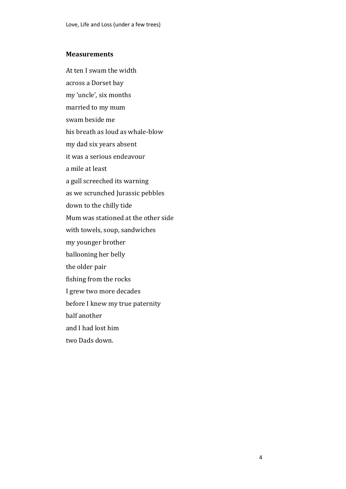#### **Measurements**

At ten I swam the width across a Dorset bay my 'uncle', six months married to my mum swam beside me his breath as loud as whale-blow my dad six years absent it was a serious endeavour a mile at least a gull screeched its warning as we scrunched Jurassic pebbles down to the chilly tide Mum was stationed at the other side with towels, soup, sandwiches my younger brother ballooning her belly the older pair fishing from the rocks I grew two more decades before I knew my true paternity half another and I had lost him two Dads down.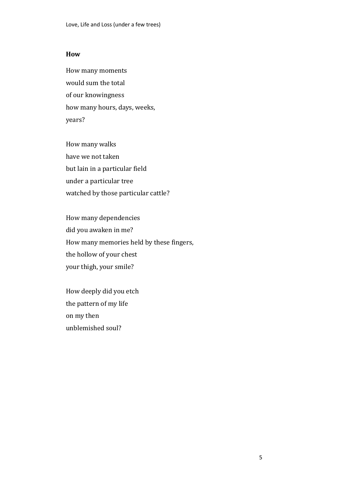#### **How**

How many moments would sum the total of our knowingness how many hours, days, weeks, years?

How many walks have we not taken but lain in a particular field under a particular tree watched by those particular cattle?

How many dependencies did you awaken in me? How many memories held by these fingers, the hollow of your chest your thigh, your smile?

How deeply did you etch the pattern of my life on my then unblemished soul?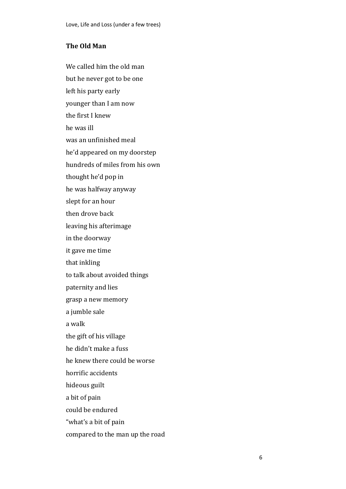## **The Old Man**

We called him the old man but he never got to be one left his party early younger than I am now the first I knew he was ill was an unfinished meal he'd appeared on my doorstep hundreds of miles from his own thought he'd pop in he was halfway anyway slept for an hour then drove back leaving his afterimage in the doorway it gave me time that inkling to talk about avoided things paternity and lies grasp a new memory a jumble sale a walk the gift of his village he didn't make a fuss he knew there could be worse horrific accidents hideous guilt a bit of pain could be endured "what's a bit of pain compared to the man up the road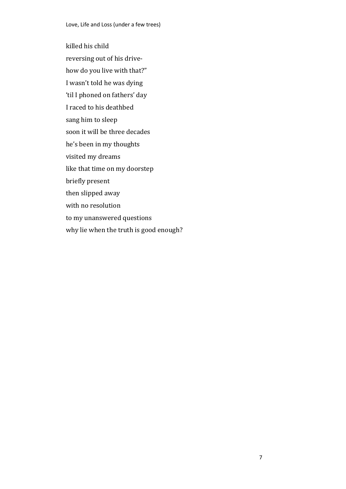killed his child reversing out of his drivehow do you live with that?" I wasn't told he was dying 'til I phoned on fathers' day I raced to his deathbed sang him to sleep soon it will be three decades he's been in my thoughts visited my dreams like that time on my doorstep briefly present then slipped away with no resolution to my unanswered questions why lie when the truth is good enough?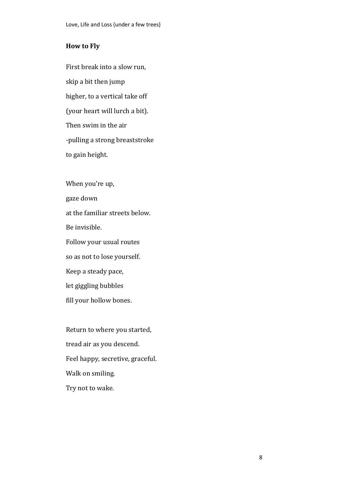#### **How to Fly**

First break into a slow run, skip a bit then jump higher, to a vertical take off (your heart will lurch a bit). Then swim in the air -pulling a strong breaststroke to gain height.

When you're up, gaze down at the familiar streets below. Be invisible. Follow your usual routes so as not to lose yourself. Keep a steady pace, let giggling bubbles fill your hollow bones.

Return to where you started, tread air as you descend. Feel happy, secretive, graceful. Walk on smiling. Try not to wake.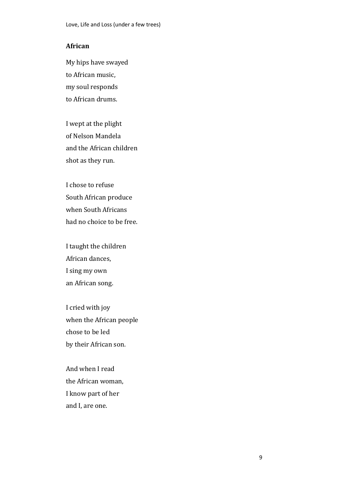## **African**

My hips have swayed to African music, my soul responds to African drums.

I wept at the plight of Nelson Mandela and the African children shot as they run.

I chose to refuse South African produce when South Africans had no choice to be free.

I taught the children African dances, I sing my own an African song.

I cried with joy when the African people chose to be led by their African son.

And when I read the African woman, I know part of her and I, are one.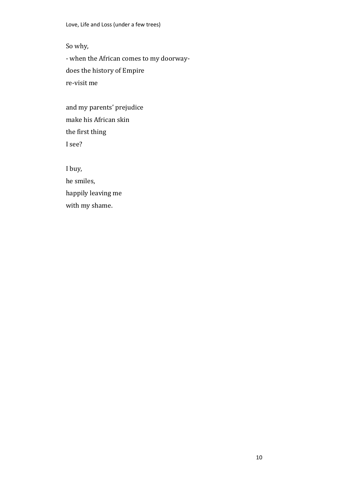So why,

- when the African comes to my doorwaydoes the history of Empire re-visit me

and my parents' prejudice make his African skin the first thing I see?

I buy, he smiles, happily leaving me with my shame.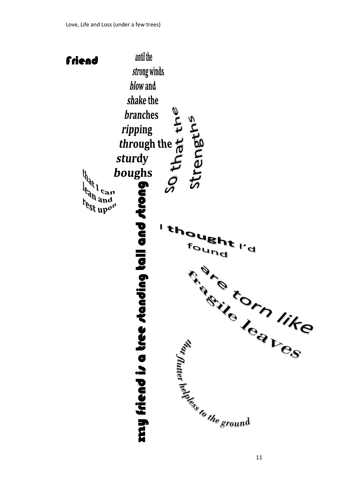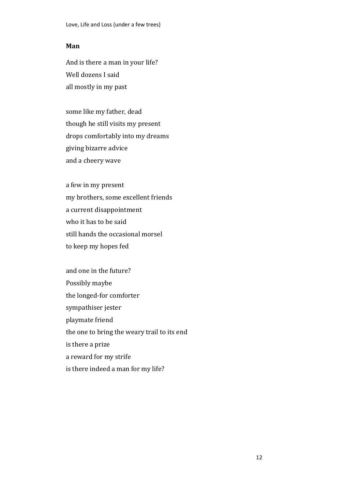#### **Man**

And is there a man in your life? Well dozens I said all mostly in my past

some like my father, dead though he still visits my present drops comfortably into my dreams giving bizarre advice and a cheery wave

a few in my present my brothers, some excellent friends a current disappointment who it has to be said still hands the occasional morsel to keep my hopes fed

and one in the future? Possibly maybe the longed-for comforter sympathiser jester playmate friend the one to bring the weary trail to its end is there a prize a reward for my strife is there indeed a man for my life?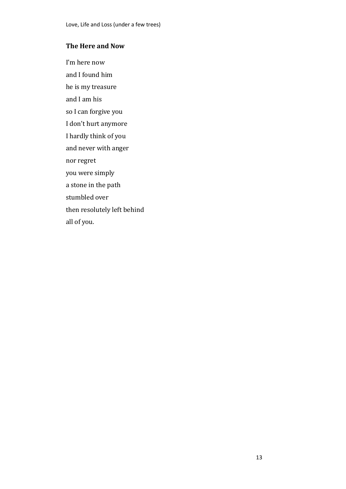## **The Here and Now**

I'm here now and I found him he is my treasure and I am his so I can forgive you I don't hurt anymore I hardly think of you and never with anger nor regret you were simply a stone in the path stumbled over then resolutely left behind all of you.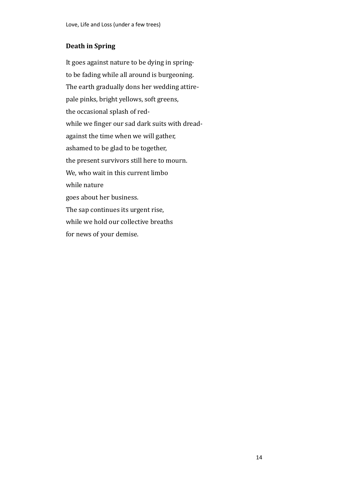## **Death in Spring**

It goes against nature to be dying in springto be fading while all around is burgeoning. The earth gradually dons her wedding attirepale pinks, bright yellows, soft greens, the occasional splash of redwhile we finger our sad dark suits with dreadagainst the time when we will gather, ashamed to be glad to be together, the present survivors still here to mourn. We, who wait in this current limbo while nature goes about her business. The sap continues its urgent rise, while we hold our collective breaths for news of your demise.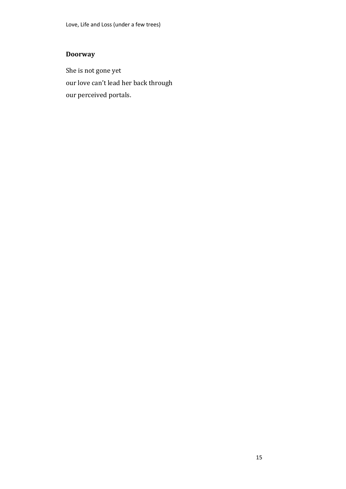## **Doorway**

She is not gone yet our love can't lead her back through our perceived portals.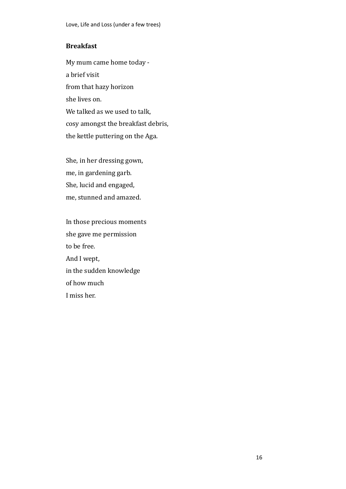## **Breakfast**

My mum came home today a brief visit from that hazy horizon she lives on. We talked as we used to talk, cosy amongst the breakfast debris, the kettle puttering on the Aga.

She, in her dressing gown, me, in gardening garb. She, lucid and engaged, me, stunned and amazed.

In those precious moments she gave me permission to be free. And I wept, in the sudden knowledge of how much I miss her.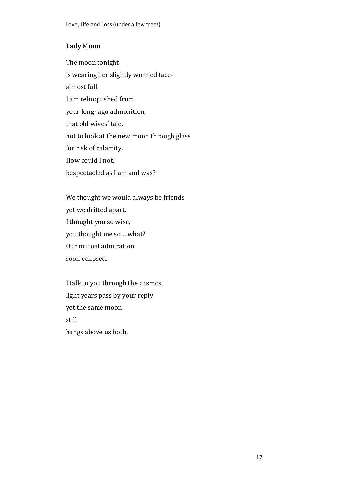## **Lady** M**oon**

The moon tonight is wearing her slightly worried facealmost full. I am relinquished from your long- ago admonition, that old wives' tale, not to look at the new moon through glass for risk of calamity. How could I not, bespectacled as I am and was?

We thought we would always be friends yet we drifted apart. I thought you so wise, you thought me so …what? Our mutual admiration soon eclipsed.

I talk to you through the cosmos, light years pass by your reply yet the same moon still hangs above us both.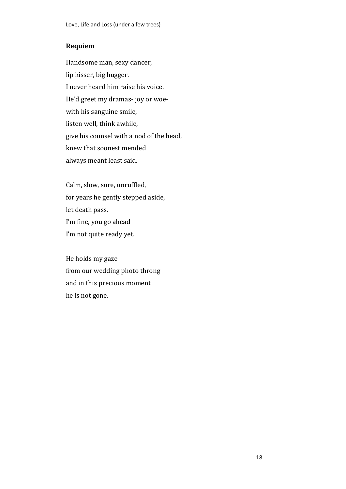## **Requiem**

Handsome man, sexy dancer, lip kisser, big hugger. I never heard him raise his voice. He'd greet my dramas- joy or woewith his sanguine smile, listen well, think awhile, give his counsel with a nod of the head, knew that soonest mended always meant least said.

Calm, slow, sure, unruffled, for years he gently stepped aside, let death pass. I'm fine, you go ahead I'm not quite ready yet.

He holds my gaze from our wedding photo throng and in this precious moment he is not gone.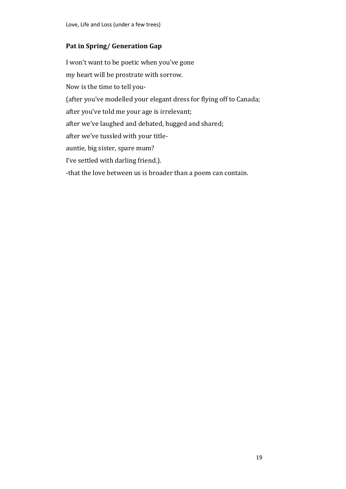## **Pat in Spring/ Generation Gap**

I won't want to be poetic when you've gone my heart will be prostrate with sorrow. Now is the time to tell you- (after you've modelled your elegant dress for flying off to Canada; after you've told me your age is irrelevant; after we've laughed and debated, hugged and shared; after we've tussled with your titleauntie, big sister, spare mum? I've settled with darling friend.). -that the love between us is broader than a poem can contain.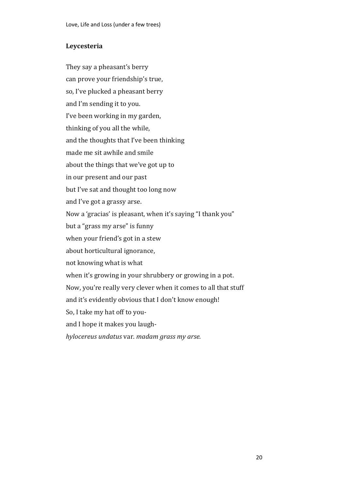## **Leycesteria**

They say a pheasant's berry can prove your friendship's true, so, I've plucked a pheasant berry and I'm sending it to you. I've been working in my garden, thinking of you all the while, and the thoughts that I've been thinking made me sit awhile and smile about the things that we've got up to in our present and our past but I've sat and thought too long now and I've got a grassy arse. Now a 'gracias' is pleasant, when it's saying "I thank you" but a "grass my arse" is funny when your friend's got in a stew about horticultural ignorance, not knowing what is what when it's growing in your shrubbery or growing in a pot. Now, you're really very clever when it comes to all that stuff and it's evidently obvious that I don't know enough! So, I take my hat off to youand I hope it makes you laugh*hylocereus undatus* var. *madam grass my arse.*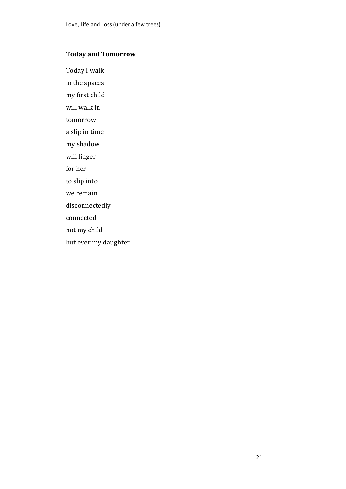## **Today and Tomorrow**

Today I walk

in the spaces

my first child

will walk in

tomorrow

a slip in time

my shadow

will linger

for her

to slip into

we remain

disconnectedly

connected

not my child

but ever my daughter.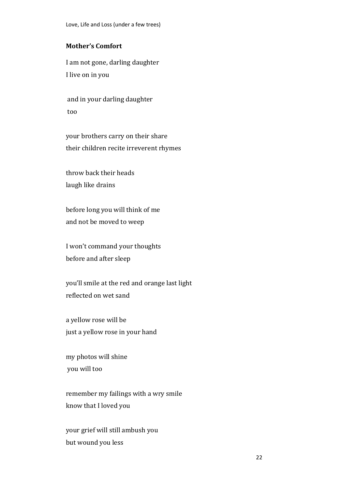## **Mother's Comfort**

I am not gone, darling daughter I live on in you

and in your darling daughter too

your brothers carry on their share their children recite irreverent rhymes

throw back their heads laugh like drains

before long you will think of me and not be moved to weep

I won't command your thoughts before and after sleep

you'll smile at the red and orange last light reflected on wet sand

a yellow rose will be just a yellow rose in your hand

my photos will shine you will too

remember my failings with a wry smile know that I loved you

your grief will still ambush you but wound you less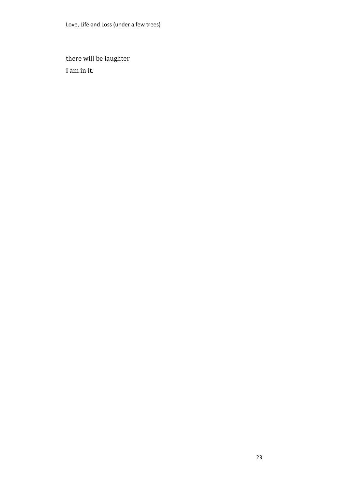there will be laughter I am in it.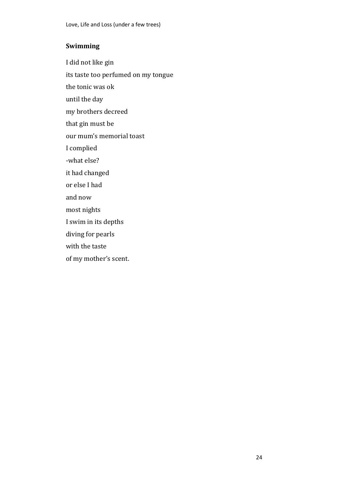## **Swimming**

I did not like gin

its taste too perfumed on my tongue

the tonic was ok

until the day

my brothers decreed

that gin must be

our mum's memorial toast

I complied

-what else?

it had changed

or else I had

and now

most nights

I swim in its depths

diving for pearls

with the taste

of my mother's scent.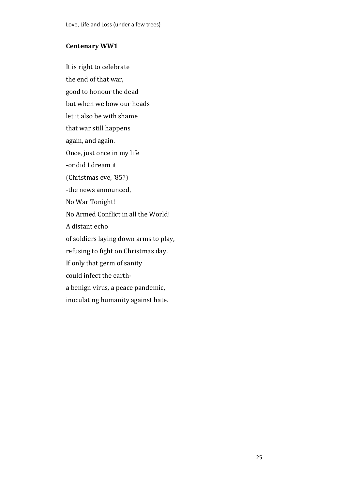## **Centenary WW1**

It is right to celebrate the end of that war, good to honour the dead but when we bow our heads let it also be with shame that war still happens again, and again. Once, just once in my life -or did I dream it (Christmas eve, '85?) -the news announced, No War Tonight! No Armed Conflict in all the World! A distant echo of soldiers laying down arms to play, refusing to fight on Christmas day. If only that germ of sanity could infect the eartha benign virus, a peace pandemic, inoculating humanity against hate.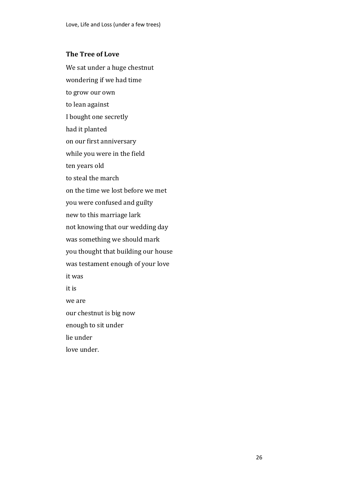#### **The Tree of Love**

We sat under a huge chestnut wondering if we had time to grow our own to lean against I bought one secretly had it planted on our first anniversary while you were in the field ten years old to steal the march on the time we lost before we met you were confused and guilty new to this marriage lark not knowing that our wedding day was something we should mark you thought that building our house was testament enough of your love it was it is we are our chestnut is big now enough to sit under lie under love under.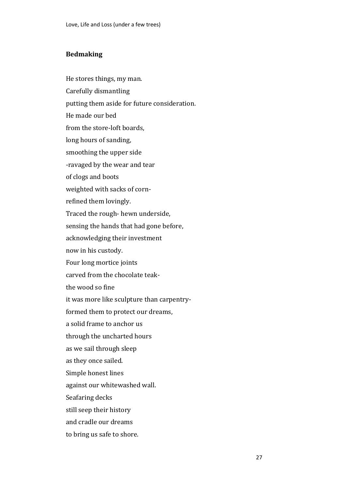#### **Bedmaking**

He stores things, my man. Carefully dismantling putting them aside for future consideration. He made our bed from the store-loft boards, long hours of sanding, smoothing the upper side -ravaged by the wear and tear of clogs and boots weighted with sacks of cornrefined them lovingly. Traced the rough- hewn underside, sensing the hands that had gone before, acknowledging their investment now in his custody. Four long mortice joints carved from the chocolate teakthe wood so fine it was more like sculpture than carpentryformed them to protect our dreams, a solid frame to anchor us through the uncharted hours as we sail through sleep as they once sailed. Simple honest lines against our whitewashed wall. Seafaring decks still seep their history and cradle our dreams to bring us safe to shore.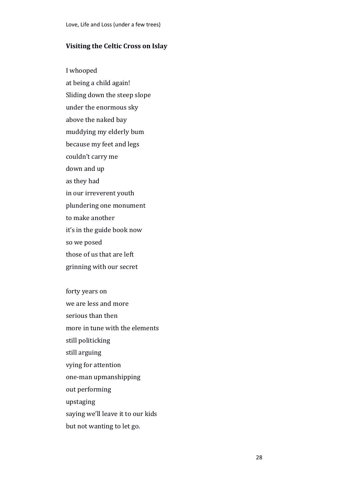#### **Visiting the Celtic Cross on Islay**

I whooped at being a child again! Sliding down the steep slope under the enormous sky above the naked bay muddying my elderly bum because my feet and legs couldn't carry me down and up as they had in our irreverent youth plundering one monument to make another it's in the guide book now so we posed those of us that are left grinning with our secret forty years on we are less and more serious than then more in tune with the elements still politicking still arguing vying for attention one-man upmanshipping out performing

upstaging

saying we'll leave it to our kids

but not wanting to let go.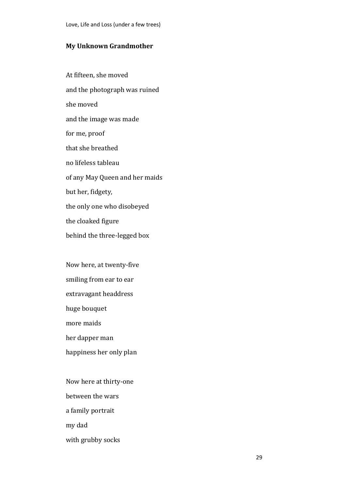#### **My Unknown Grandmother**

At fifteen, she moved and the photograph was ruined she moved and the image was made for me, proof that she breathed no lifeless tableau of any May Queen and her maids but her, fidgety, the only one who disobeyed the cloaked figure behind the three-legged box

Now here, at twenty-five smiling from ear to ear extravagant headdress huge bouquet more maids

her dapper man

happiness her only plan

Now here at thirty-one between the wars a family portrait my dad with grubby socks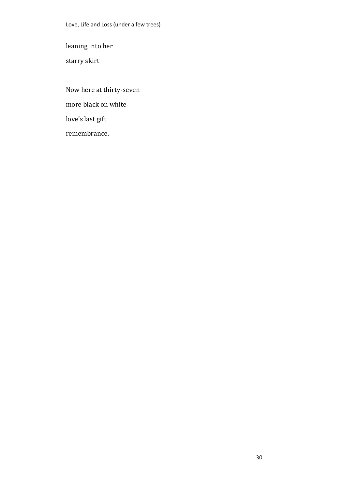leaning into her

starry skirt

Now here at thirty-seven more black on white love's last gift remembrance.

30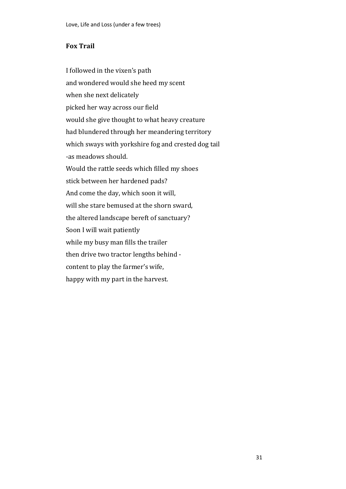# **Fox Trail**

I followed in the vixen's path and wondered would she heed my scent when she next delicately picked her way across our field would she give thought to what heavy creature had blundered through her meandering territory which sways with yorkshire fog and crested dog tail -as meadows should. Would the rattle seeds which filled my shoes stick between her hardened pads? And come the day, which soon it will, will she stare bemused at the shorn sward, the altered landscape bereft of sanctuary? Soon I will wait patiently while my busy man fills the trailer then drive two tractor lengths behind content to play the farmer's wife, happy with my part in the harvest.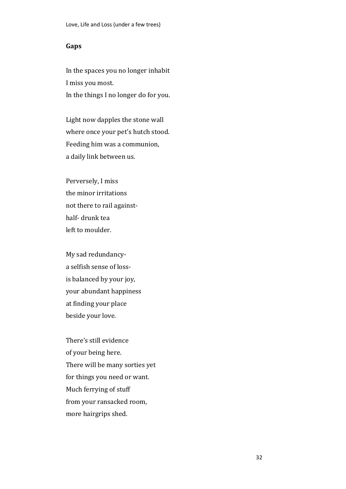### **Gaps**

In the spaces you no longer inhabit I miss you most. In the things I no longer do for you.

Light now dapples the stone wall where once your pet's hutch stood. Feeding him was a communion, a daily link between us.

Perversely, I miss the minor irritations not there to rail againsthalf- drunk tea left to moulder.

My sad redundancya selfish sense of lossis balanced by your joy, your abundant happiness at finding your place beside your love.

There's still evidence of your being here. There will be many sorties yet for things you need or want. Much ferrying of stuff from your ransacked room, more hairgrips shed.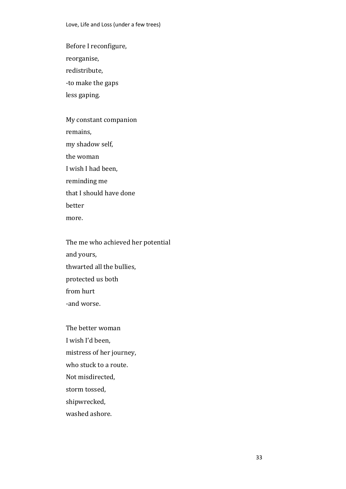Before I reconfigure,

reorganise,

redistribute,

-to make the gaps

less gaping.

My constant companion remains, my shadow self, the woman I wish I had been, reminding me that I should have done better more.

The me who achieved her potential and yours, thwarted all the bullies, protected us both from hurt -and worse.

The better woman I wish I'd been, mistress of her journey, who stuck to a route. Not misdirected, storm tossed, shipwrecked,

washed ashore.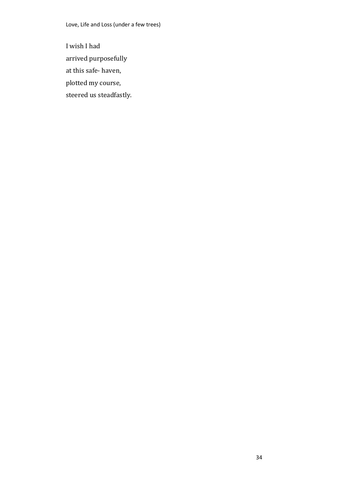I wish I had arrived purposefully at this safe- haven, plotted my course, steered us steadfastly.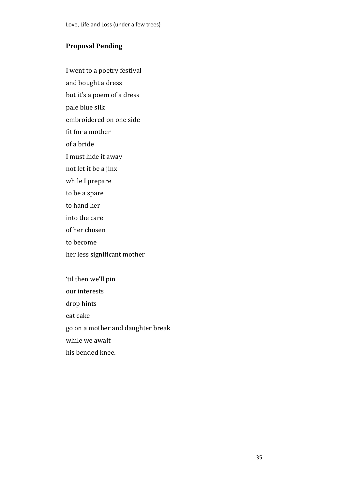# **Proposal Pending**

I went to a poetry festival

and bought a dress

but it's a poem of a dress

pale blue silk

embroidered on one side

fit for a mother

of a bride

I must hide it away

not let it be a jinx

while I prepare

to be a spare

- to hand her
- into the care
- of her chosen

to become

her less significant mother

'til then we'll pin our interests drop hints eat cake go on a mother and daughter break while we await his bended knee.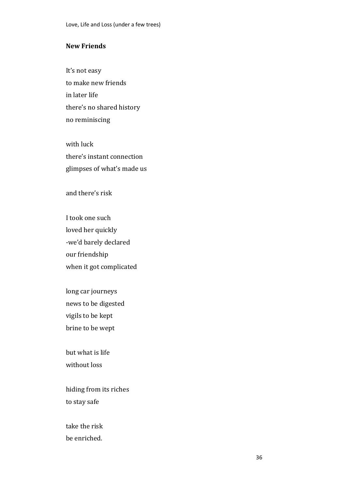### **New Friends**

It's not easy to make new friends in later life there's no shared history no reminiscing

with luck there's instant connection glimpses of what's made us

and there's risk

I took one such loved her quickly -we'd barely declared our friendship when it got complicated

long car journeys news to be digested vigils to be kept brine to be wept

but what is life without loss

hiding from its riches to stay safe

take the risk be enriched.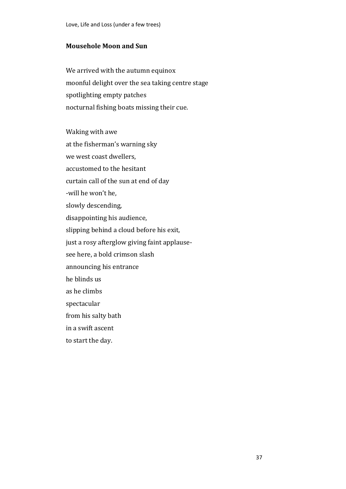### **Mousehole Moon and Sun**

We arrived with the autumn equinox moonful delight over the sea taking centre stage spotlighting empty patches nocturnal fishing boats missing their cue.

Waking with awe at the fisherman's warning sky we west coast dwellers, accustomed to the hesitant curtain call of the sun at end of day -will he won't he, slowly descending, disappointing his audience, slipping behind a cloud before his exit, just a rosy afterglow giving faint applausesee here, a bold crimson slash announcing his entrance he blinds us as he climbs spectacular from his salty bath in a swift ascent to start the day.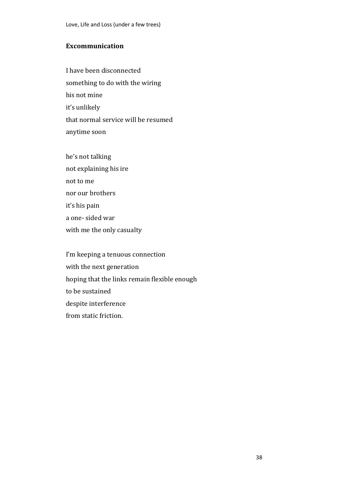## **Excommunication**

I have been disconnected something to do with the wiring his not mine it's unlikely that normal service will be resumed anytime soon

he's not talking not explaining his ire not to me nor our brothers it's his pain a one- sided war with me the only casualty

I'm keeping a tenuous connection with the next generation hoping that the links remain flexible enough to be sustained despite interference from static friction.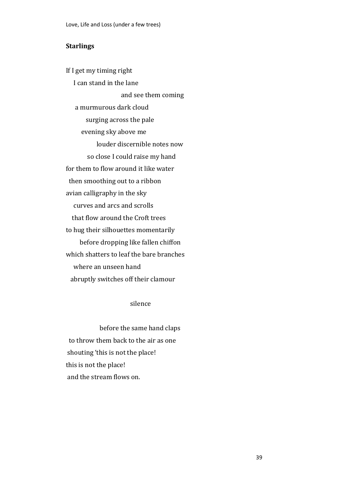### **Starlings**

If I get my timing right I can stand in the lane and see them coming a murmurous dark cloud surging across the pale evening sky above me louder discernible notes now so close I could raise my hand for them to flow around it like water then smoothing out to a ribbon avian calligraphy in the sky curves and arcs and scrolls that flow around the Croft trees to hug their silhouettes momentarily before dropping like fallen chiffon which shatters to leaf the bare branches where an unseen hand abruptly switches off their clamour

silence

 before the same hand claps to throw them back to the air as one shouting 'this is not the place! this is not the place! and the stream flows on.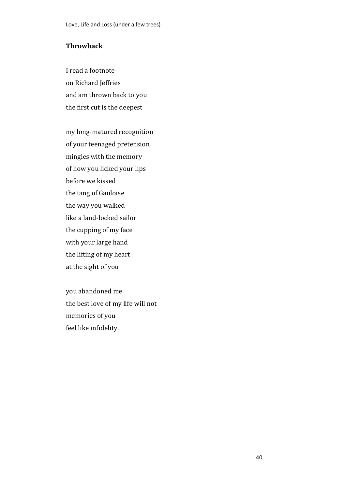### **Throwback**

I read a footnote on Richard Jeffries and am thrown back to you the first cut is the deepest

my long-matured recognition of your teenaged pretension mingles with the memory of how you licked your lips before we kissed the tang of Gauloise the way you walked like a land-locked sailor the cupping of my face with your large hand the lifting of my heart at the sight of you

you abandoned me the best love of my life will not memories of you feel like infidelity.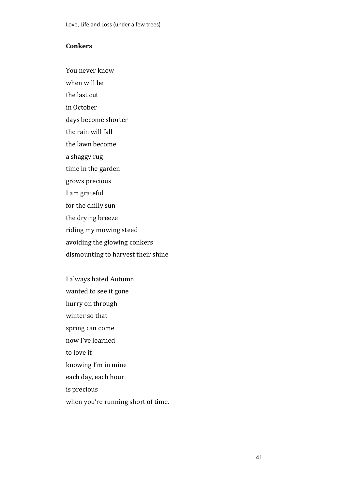# **Conkers**

You never know

when will be

the last cut

in October

days become shorter

the rain will fall

the lawn become

a shaggy rug

time in the garden

grows precious

I am grateful

for the chilly sun

the drying breeze

riding my mowing steed

avoiding the glowing conkers

dismounting to harvest their shine

I always hated Autumn wanted to see it gone hurry on through winter so that spring can come now I've learned to love it knowing I'm in mine each day, each hour is precious when you're running short of time.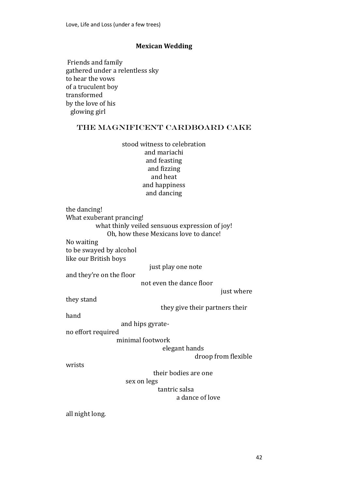### **Mexican Wedding**

Friends and family gathered under a relentless sky to hear the vows of a truculent boy transformed by the love of his glowing girl

### the magnificent cardboard cake

stood witness to celebration and mariachi and feasting and fizzing and heat and happiness and dancing

the dancing! What exuberant prancing! what thinly veiled sensuous expression of joy! Oh, how these Mexicans love to dance! No waiting to be swayed by alcohol

like our British boys

just play one note

and they're on the floor

not even the dance floor

just where

they stand

they give their partners their

hand

and hips gyrate-

no effort required

minimal footwork

elegant hands

droop from flexible

wrists

their bodies are one

sex on legs

tantric salsa

# a dance of love

all night long.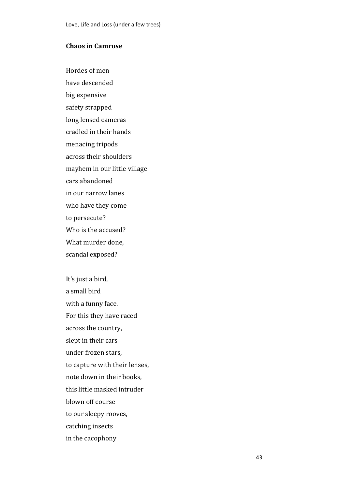#### **Chaos in Camrose**

Hordes of men have descended big expensive safety strapped long lensed cameras cradled in their hands menacing tripods across their shoulders mayhem in our little village cars abandoned in our narrow lanes who have they come to persecute? Who is the accused? What murder done, scandal exposed?

It's just a bird, a small bird with a funny face. For this they have raced across the country, slept in their cars under frozen stars, to capture with their lenses, note down in their books, this little masked intruder blown off course to our sleepy rooves, catching insects in the cacophony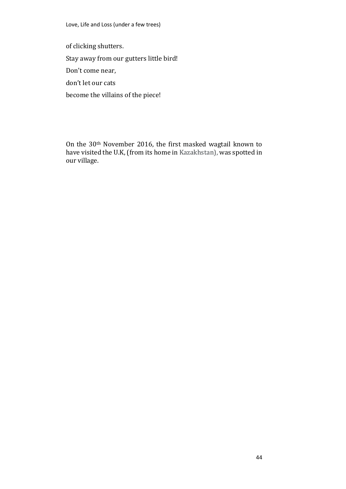of clicking shutters.

Stay away from our gutters little bird!

Don't come near,

don't let our cats

become the villains of the piece!

On the 30th November 2016, the first masked wagtail known to have visited the U.K, (from its home in Kazakhstan), was spotted in our village.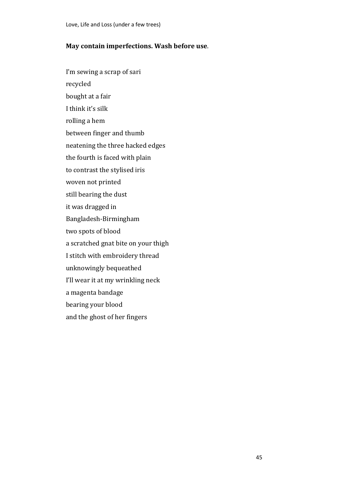### **May contain imperfections. Wash before use**.

I'm sewing a scrap of sari

- recycled
- bought at a fair
- I think it's silk
- rolling a hem
- between finger and thumb
- neatening the three hacked edges
- the fourth is faced with plain
- to contrast the stylised iris
- woven not printed
- still bearing the dust
- it was dragged in
- Bangladesh-Birmingham
- two spots of blood
- a scratched gnat bite on your thigh
- I stitch with embroidery thread
- unknowingly bequeathed
- I'll wear it at my wrinkling neck
- a magenta bandage
- bearing your blood
- and the ghost of her fingers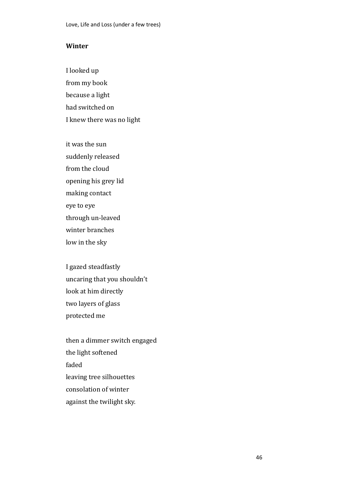### **Winter**

I looked up from my book because a light had switched on I knew there was no light

it was the sun suddenly released from the cloud opening his grey lid making contact eye to eye through un-leaved winter branches low in the sky

I gazed steadfastly uncaring that you shouldn't look at him directly two layers of glass protected me

then a dimmer switch engaged the light softened faded leaving tree silhouettes consolation of winter against the twilight sky.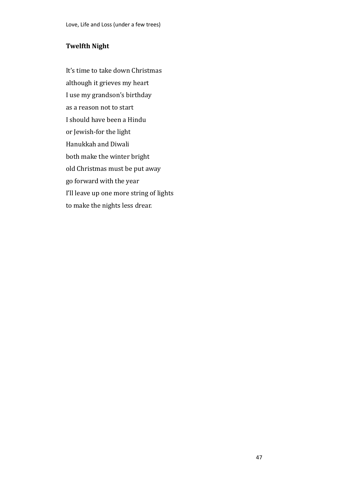# **Twelfth Night**

It's time to take down Christmas although it grieves my heart I use my grandson's birthday as a reason not to start I should have been a Hindu or Jewish-for the light Hanukkah and Diwali both make the winter bright old Christmas must be put away go forward with the year I'll leave up one more string of lights to make the nights less drear.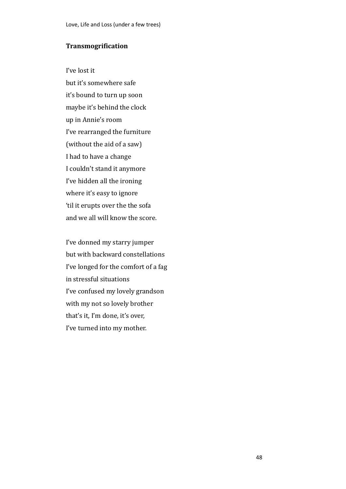#### **Transmogrification**

I've lost it but it's somewhere safe it's bound to turn up soon maybe it's behind the clock up in Annie's room I've rearranged the furniture (without the aid of a saw) I had to have a change I couldn't stand it anymore I've hidden all the ironing where it's easy to ignore 'til it erupts over the the sofa and we all will know the score.

I've donned my starry jumper but with backward constellations I've longed for the comfort of a fag in stressful situations I've confused my lovely grandson with my not so lovely brother that's it, I'm done, it's over, I've turned into my mother.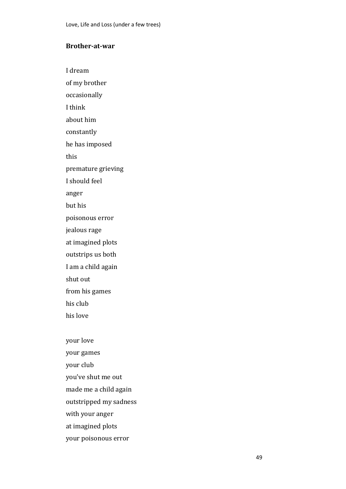# **Brother-at-war**

I dream

of my brother

occasionally

I think

about him

constantly

he has imposed

this

premature grieving

I should feel

anger

but his

poisonous error

jealous rage

at imagined plots

outstrips us both

I am a child again

shut out

from his games

his club

his love

your love your games your club you've shut me out made me a child again outstripped my sadness with your anger at imagined plots

your poisonous error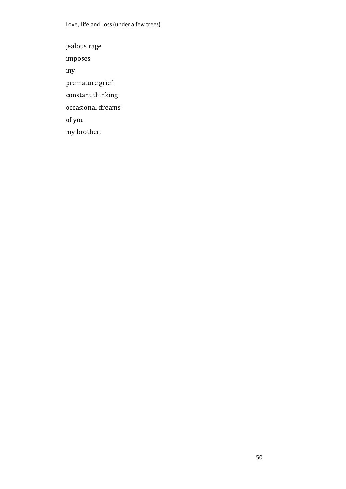jealous rage imposes my premature grief constant thinking occasional dreams of you my brother.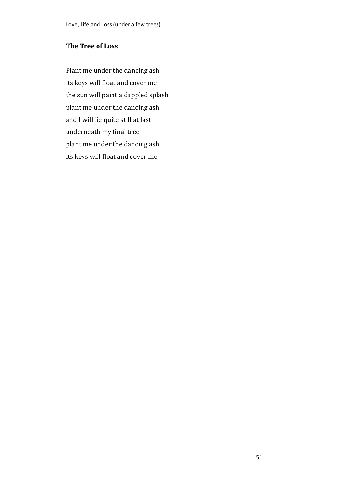# **The Tree of Loss**

Plant me under the dancing ash its keys will float and cover me the sun will paint a dappled splash plant me under the dancing ash and I will lie quite still at last underneath my final tree plant me under the dancing ash its keys will float and cover me.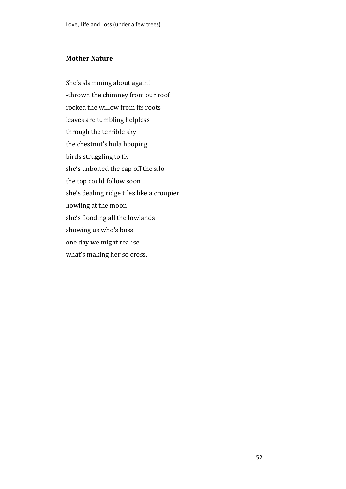# **Mother Nature**

She's slamming about again! -thrown the chimney from our roof rocked the willow from its roots leaves are tumbling helpless through the terrible sky the chestnut's hula hooping birds struggling to fly she's unbolted the cap off the silo the top could follow soon she's dealing ridge tiles like a croupier howling at the moon she's flooding all the lowlands showing us who's boss one day we might realise what's making her so cross.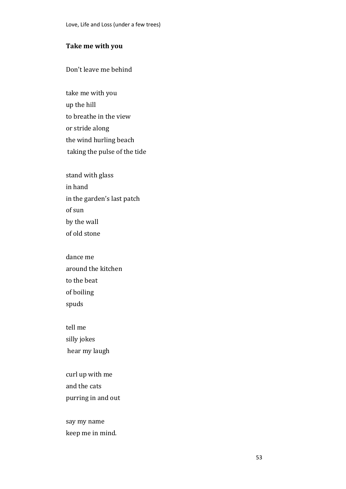### **Take me with you**

Don't leave me behind

take me with you up the hill to breathe in the view or stride along the wind hurling beach taking the pulse of the tide

stand with glass in hand in the garden's last patch of sun by the wall of old stone

dance me around the kitchen to the beat of boiling spuds

tell me silly jokes hear my laugh

curl up with me and the cats purring in and out

say my name keep me in mind.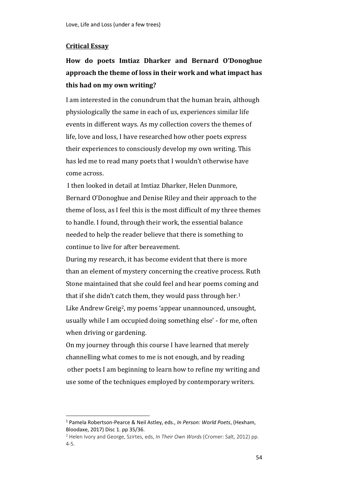### **Critical Essay**

 $\overline{a}$ 

# **How do poets Imtiaz Dharker and Bernard O'Donoghue approach the theme of loss in their work and what impact has this had on my own writing?**

I am interested in the conundrum that the human brain, although physiologically the same in each of us, experiences similar life events in different ways. As my collection covers the themes of life, love and loss, I have researched how other poets express their experiences to consciously develop my own writing. This has led me to read many poets that I wouldn't otherwise have come across.

I then looked in detail at Imtiaz Dharker, Helen Dunmore, Bernard O'Donoghue and Denise Riley and their approach to the theme of loss, as I feel this is the most difficult of my three themes to handle. I found, through their work, the essential balance needed to help the reader believe that there is something to continue to live for after bereavement.

During my research, it has become evident that there is more than an element of mystery concerning the creative process. Ruth Stone maintained that she could feel and hear poems coming and that if she didn't catch them, they would pass through her.<sup>1</sup> Like Andrew Greig2, my poems 'appear unannounced, unsought, usually while I am occupied doing something else' - for me, often when driving or gardening.

On my journey through this course I have learned that merely channelling what comes to me is not enough, and by reading other poets I am beginning to learn how to refine my writing and use some of the techniques employed by contemporary writers.

<sup>1</sup> Pamela Robertson-Pearce & Neil Astley, eds., *In Person: World Poets*, (Hexham, Bloodaxe, 2017) Disc 1. pp 35/36.

<sup>2</sup> Helen Ivory and George, Szirtes, eds, *In Their Own Words* (Cromer: Salt, 2012) pp. 4-5.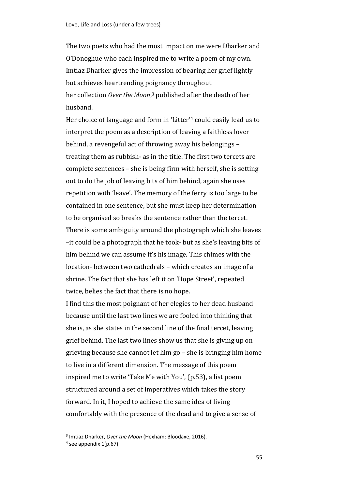The two poets who had the most impact on me were Dharker and O'Donoghue who each inspired me to write a poem of my own. Imtiaz Dharker gives the impression of bearing her grief lightly but achieves heartrending poignancy throughout her collection *Over the Moon*, <sup>3</sup> published after the death of her husband.

Her choice of language and form in 'Litter'<sup>4</sup> could easily lead us to interpret the poem as a description of leaving a faithless lover behind, a revengeful act of throwing away his belongings – treating them as rubbish- as in the title. The first two tercets are complete sentences – she is being firm with herself, she is setting out to do the job of leaving bits of him behind, again she uses repetition with 'leave'. The memory of the ferry is too large to be contained in one sentence, but she must keep her determination to be organised so breaks the sentence rather than the tercet. There is some ambiguity around the photograph which she leaves –it could be a photograph that he took- but as she's leaving bits of him behind we can assume it's his image. This chimes with the location- between two cathedrals – which creates an image of a shrine. The fact that she has left it on 'Hope Street', repeated twice, belies the fact that there is no hope.

I find this the most poignant of her elegies to her dead husband because until the last two lines we are fooled into thinking that she is, as she states in the second line of the final tercet, leaving grief behind. The last two lines show us that she is giving up on grieving because she cannot let him go – she is bringing him home to live in a different dimension. The message of this poem inspired me to write 'Take Me with You', (p.53), a list poem structured around a set of imperatives which takes the story forward. In it, I hoped to achieve the same idea of living comfortably with the presence of the dead and to give a sense of

 $\overline{a}$ 

<sup>3</sup> Imtiaz Dharker, *Over the Moon* (Hexham: Bloodaxe, 2016).

<sup>4</sup> see appendix 1(p.67)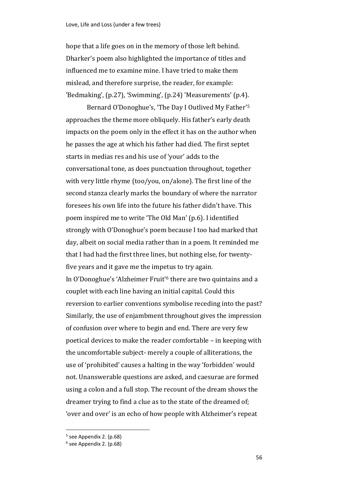hope that a life goes on in the memory of those left behind. Dharker's poem also highlighted the importance of titles and influenced me to examine mine. I have tried to make them mislead, and therefore surprise, the reader, for example: 'Bedmaking', (p.27), 'Swimming', (p.24) 'Measurements' (p.4).

Bernard O'Donoghue's, 'The Day I Outlived My Father'<sup>5</sup> approaches the theme more obliquely. His father's early death impacts on the poem only in the effect it has on the author when he passes the age at which his father had died. The first septet starts in medias res and his use of 'your' adds to the conversational tone, as does punctuation throughout, together with very little rhyme (too/you, on/alone). The first line of the second stanza clearly marks the boundary of where the narrator foresees his own life into the future his father didn't have. This poem inspired me to write 'The Old Man' (p.6). I identified strongly with O'Donoghue's poem because I too had marked that day, albeit on social media rather than in a poem. It reminded me that I had had the first three lines, but nothing else, for twentyfive years and it gave me the impetus to try again. In O'Donoghue's 'Alzheimer Fruit'<sup>6</sup> there are two quintains and a couplet with each line having an initial capital. Could this reversion to earlier conventions symbolise receding into the past? Similarly, the use of enjambment throughout gives the impression of confusion over where to begin and end. There are very few poetical devices to make the reader comfortable – in keeping with the uncomfortable subject- merely a couple of alliterations, the use of 'prohibited' causes a halting in the way 'forbidden' would not. Unanswerable questions are asked, and caesurae are formed using a colon and a full stop. The recount of the dream shows the dreamer trying to find a clue as to the state of the dreamed of; 'over and over' is an echo of how people with Alzheimer's repeat

 $\overline{a}$ 

<sup>&</sup>lt;sup>5</sup> see Appendix 2. (p.68)

<sup>&</sup>lt;sup>6</sup> see Appendix 2. (p.68)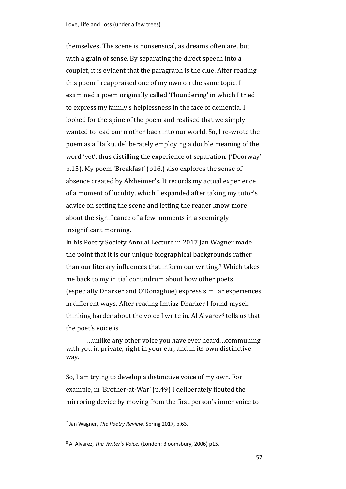themselves. The scene is nonsensical, as dreams often are, but with a grain of sense. By separating the direct speech into a couplet, it is evident that the paragraph is the clue. After reading this poem I reappraised one of my own on the same topic. I examined a poem originally called 'Floundering' in which I tried to express my family's helplessness in the face of dementia. I looked for the spine of the poem and realised that we simply wanted to lead our mother back into our world. So, I re-wrote the poem as a Haiku, deliberately employing a double meaning of the word 'yet', thus distilling the experience of separation. ('Doorway' p.15). My poem 'Breakfast' (p16.) also explores the sense of absence created by Alzheimer's. It records my actual experience of a moment of lucidity, which I expanded after taking my tutor's advice on setting the scene and letting the reader know more about the significance of a few moments in a seemingly insignificant morning.

In his Poetry Society Annual Lecture in 2017 Jan Wagner made the point that it is our unique biographical backgrounds rather than our literary influences that inform our writing.<sup>7</sup> Which takes me back to my initial conundrum about how other poets (especially Dharker and O'Donaghue) express similar experiences in different ways. After reading Imtiaz Dharker I found myself thinking harder about the voice I write in. Al Alvarez<sup>8</sup> tells us that the poet's voice is

…unlike any other voice you have ever heard…communing with you in private, right in your ear, and in its own distinctive way.

So, I am trying to develop a distinctive voice of my own. For example, in 'Brother-at-War' (p.49) I deliberately flouted the mirroring device by moving from the first person's inner voice to

l

<sup>7</sup> Jan Wagner, *The Poetry Review,* Spring 2017, p.63.

<sup>8</sup> Al Alvarez, *The Writer's Voice,* (London: Bloomsbury, 2006) p15.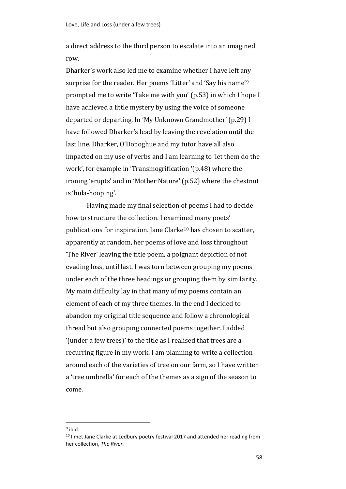a direct address to the third person to escalate into an imagined row.

Dharker's work also led me to examine whether I have left any surprise for the reader. Her poems 'Litter' and 'Say his name'<sup>9</sup> prompted me to write 'Take me with you' (p.53) in which I hope I have achieved a little mystery by using the voice of someone departed or departing. In 'My Unknown Grandmother' (p.29) I have followed Dharker's lead by leaving the revelation until the last line. Dharker, O'Donoghue and my tutor have all also impacted on my use of verbs and I am learning to 'let them do the work', for example in 'Transmogrification '(p.48) where the ironing 'erupts' and in 'Mother Nature' (p.52) where the chestnut is 'hula-hooping'.

Having made my final selection of poems I had to decide how to structure the collection. I examined many poets' publications for inspiration. Jane Clarke<sup>10</sup> has chosen to scatter, apparently at random, her poems of love and loss throughout 'The River' leaving the title poem, a poignant depiction of not evading loss, until last. I was torn between grouping my poems under each of the three headings or grouping them by similarity. My main difficulty lay in that many of my poems contain an element of each of my three themes. In the end I decided to abandon my original title sequence and follow a chronological thread but also grouping connected poems together. I added '(under a few trees)' to the title as I realised that trees are a recurring figure in my work. I am planning to write a collection around each of the varieties of tree on our farm, so I have written a 'tree umbrella' for each of the themes as a sign of the season to come.

 $\overline{\phantom{a}}$ 

<sup>&</sup>lt;sup>9</sup> ibid.

 $10$  I met Jane Clarke at Ledbury poetry festival 2017 and attended her reading from her collection, *The River.*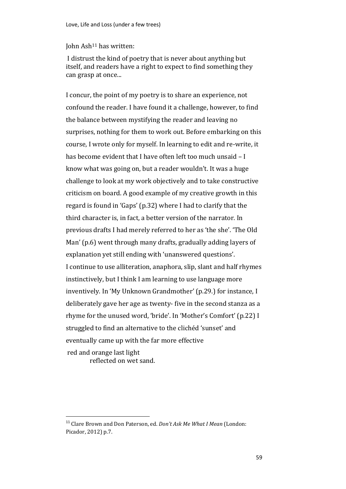#### John Ash<sup>11</sup> has written:

I distrust the kind of poetry that is never about anything but itself, and readers have a right to expect to find something they can grasp at once...

I concur, the point of my poetry is to share an experience, not confound the reader. I have found it a challenge, however, to find the balance between mystifying the reader and leaving no surprises, nothing for them to work out. Before embarking on this course, I wrote only for myself. In learning to edit and re-write, it has become evident that I have often left too much unsaid – I know what was going on, but a reader wouldn't. It was a huge challenge to look at my work objectively and to take constructive criticism on board. A good example of my creative growth in this regard is found in 'Gaps' (p.32) where I had to clarify that the third character is, in fact, a better version of the narrator. In previous drafts I had merely referred to her as 'the she'. 'The Old Man' (p.6) went through many drafts, gradually adding layers of explanation yet still ending with 'unanswered questions'. I continue to use alliteration, anaphora, slip, slant and half rhymes instinctively, but I think I am learning to use language more inventively. In 'My Unknown Grandmother' (p.29.) for instance, I deliberately gave her age as twenty- five in the second stanza as a rhyme for the unused word, 'bride'. In 'Mother's Comfort' (p.22) I struggled to find an alternative to the clichéd 'sunset' and eventually came up with the far more effective red and orange last light

reflected on wet sand.

 $\overline{a}$ 

<sup>11</sup> Clare Brown and Don Paterson, ed. *Don't Ask Me What I Mean* (London: Picador, 2012) p.7.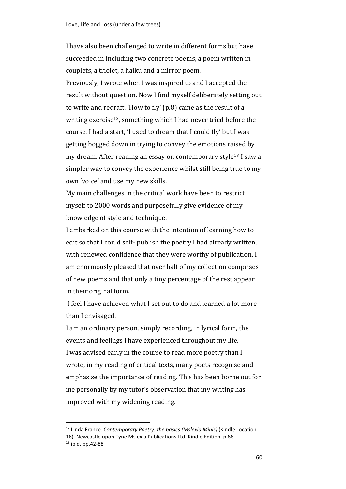I have also been challenged to write in different forms but have succeeded in including two concrete poems, a poem written in couplets, a triolet, a haiku and a mirror poem. Previously, I wrote when I was inspired to and I accepted the result without question. Now I find myself deliberately setting out to write and redraft. 'How to fly' (p.8) came as the result of a writing exercise<sup>12</sup>, something which I had never tried before the course. I had a start, 'I used to dream that I could fly' but I was getting bogged down in trying to convey the emotions raised by my dream. After reading an essay on contemporary style<sup>13</sup> I saw a simpler way to convey the experience whilst still being true to my own 'voice' and use my new skills.

My main challenges in the critical work have been to restrict myself to 2000 words and purposefully give evidence of my knowledge of style and technique.

I embarked on this course with the intention of learning how to edit so that I could self- publish the poetry I had already written, with renewed confidence that they were worthy of publication. I am enormously pleased that over half of my collection comprises of new poems and that only a tiny percentage of the rest appear in their original form.

I feel I have achieved what I set out to do and learned a lot more than I envisaged.

I am an ordinary person, simply recording, in lyrical form, the events and feelings I have experienced throughout my life. I was advised early in the course to read more poetry than I wrote, in my reading of critical texts, many poets recognise and emphasise the importance of reading. This has been borne out for me personally by my tutor's observation that my writing has improved with my widening reading.

 $\overline{\phantom{a}}$ 

<sup>12</sup> Linda France*, Contemporary Poetry: the basics (Mslexia Minis)* (Kindle Location 16). Newcastle upon Tyne Mslexia Publications Ltd. Kindle Edition, p.88. <sup>13</sup> ibid. pp.42-88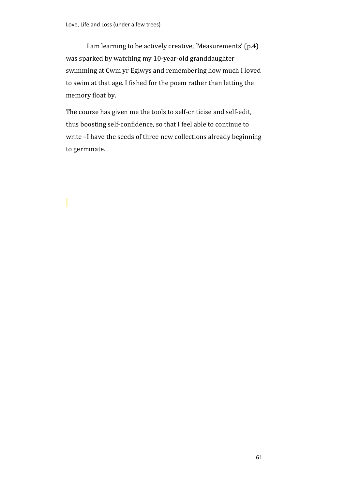I am learning to be actively creative, 'Measurements' (p.4) was sparked by watching my 10-year-old granddaughter swimming at Cwm yr Eglwys and remembering how much I loved to swim at that age. I fished for the poem rather than letting the memory float by.

The course has given me the tools to self-criticise and self-edit, thus boosting self-confidence, so that I feel able to continue to write –I have the seeds of three new collections already beginning to germinate.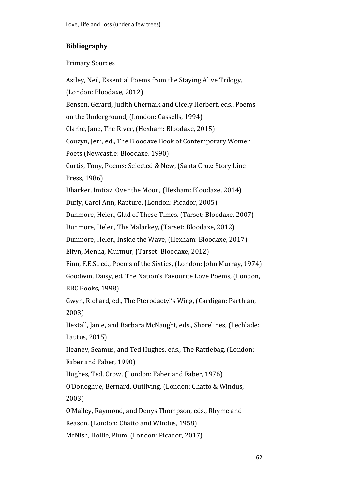# **Bibliography**

# Primary Sources

Astley, Neil, Essential Poems from the Staying Alive Trilogy*,* (London: Bloodaxe, 2012) Bensen, Gerard, Judith Chernaik and Cicely Herbert, eds., Poems on the Underground*,* (London: Cassells, 1994) Clarke, Jane, The River, (Hexham: Bloodaxe, 2015) Couzyn, Jeni, ed., The Bloodaxe Book of Contemporary Women Poets (Newcastle: Bloodaxe, 1990) Curtis, Tony, Poems: Selected & New, (Santa Cruz: Story Line Press, 1986) Dharker, Imtiaz, Over the Moon, (Hexham: Bloodaxe, 2014) Duffy, Carol Ann, Rapture, (London: Picador, 2005) Dunmore, Helen, Glad of These Times*,* (Tarset: Bloodaxe, 2007) Dunmore, Helen, The Malarkey*,* (Tarset: Bloodaxe, 2012) Dunmore, Helen, Inside the Wave, (Hexham: Bloodaxe, 2017) Elfyn, Menna, Murmur*,* (Tarset: Bloodaxe, 2012) Finn, F.E.S., ed., Poems of the Sixties*,* (London: John Murray, 1974) Goodwin, Daisy, ed. The Nation's Favourite Love Poems*,* (London, BBC Books, 1998) Gwyn, Richard, ed., The Pterodactyl's Wing, (Cardigan: Parthian, 2003) Hextall, Janie, and Barbara McNaught, eds., Shorelines*,* (Lechlade: Lautus, 2015) Heaney, Seamus, and Ted Hughes, eds., The Rattlebag, (London: Faber and Faber, 1990) Hughes, Ted, Crow, (London: Faber and Faber, 1976) O'Donoghue, Bernard, Outliving*,* (London: Chatto & Windus, 2003) O'Malley, Raymond, and Denys Thompson, eds., Rhyme and Reason*,* (London: Chatto and Windus, 1958) McNish, Hollie, Plum, (London: Picador, 2017)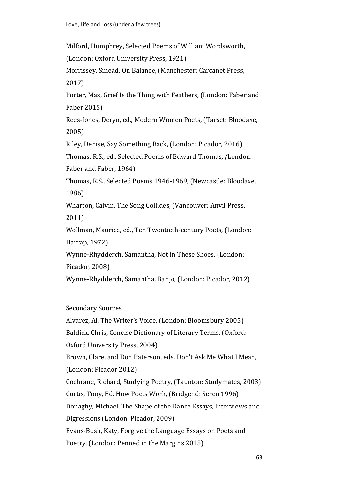Milford, Humphrey, Selected Poems of William Wordsworth,

(London: Oxford University Press, 1921)

Morrissey, Sinead, On Balance, (Manchester: Carcanet Press, 2017)

Porter, Max, Grief Is the Thing with Feathers*,* (London: Faber and Faber 2015)

Rees-Jones, Deryn, ed., Modern Women Poets*,* (Tarset: Bloodaxe, 2005)

Riley, Denise, Say Something Back, (London: Picador, 2016)

Thomas, R.S., ed., Selected Poems of Edward Thomas*, (*London: Faber and Faber, 1964)

Thomas, R.S., Selected Poems 1946-1969*,* (Newcastle: Bloodaxe, 1986)

Wharton, Calvin, The Song Collides*,* (Vancouver: Anvil Press, 2011)

Wollman, Maurice, ed., Ten Twentieth-century Poets*,* (London: Harrap, 1972)

Wynne-Rhydderch, Samantha, Not in These Shoes*,* (London:

Picador, 2008)

Wynne-Rhydderch, Samantha*,* Banjo*,* (London: Picador, 2012)

# Secondary Sources

Alvarez, Al, The Writer's Voice, (London: Bloomsbury 2005) Baldick, Chris, Concise Dictionary of Literary Terms, (Oxford: Oxford University Press, 2004) Brown, Clare, and Don Paterson, eds*.* Don't Ask Me What I Mean, (London: Picador 2012) Cochrane, Richard, Studying Poetry*,* (Taunton: Studymates, 2003) Curtis, Tony, Ed. How Poets Work, (Bridgend: Seren 1996) Donaghy, Michael, The Shape of the Dance Essays, Interviews and Digression*s* (London: Picador, 2009) Evans-Bush, Katy, Forgive the Language Essays on Poets and Poetry, (London: Penned in the Margins 2015)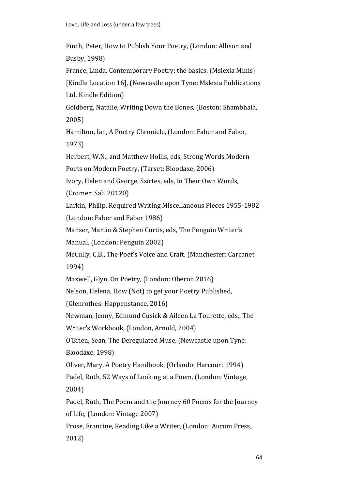Finch, Peter, How to Publish Your Poetry*,* (London: Allison and Busby, 1998) France, Linda*,* Contemporary Poetry: the basics, {Mslexia Minis} [Kindle Location 16], (Newcastle upon Tyne: Mslexia Publications Ltd. Kindle Edition) Goldberg, Natalie, Writing Down the Bones*,* (Boston: Shambhala, 2005) Hamilton, Ian, A Poetry Chronicle, (London: Faber and Faber, 1973) Herbert, W.N., and Matthew Hollis, eds, Strong Words Modern Poets on Modern Poetry, (Tarset: Bloodaxe, 2006) Ivory, Helen and George, Szirtes, eds, In Their Own Words, (Cromer: Salt 20120) Larkin, Philip, Required Writing Miscellaneous Pieces 1955-1982 (London: Faber and Faber 1986) Manser, Martin & Stephen Curtis, eds, The Penguin Writer's Manual, (London: Penguin 2002) McCully, C.B., The Poet's Voice and Craft*,* (Manchester: Carcanet 1994) Maxwell, Glyn, On Poetry*,* (London: Oberon 2016) Nelson, Helena, How (Not) to get your Poetry Published*,* (Glenrothes: Happenstance, 2016) Newman, Jenny, Edmund Cusick & Aileen La Tourette, eds., The Writer's Workbook, (London, Arnold, 2004) O'Brien, Sean, The Deregulated Muse*,* (Newcastle upon Tyne: Bloodaxe, 1998) Oliver, Mary, A Poetry Handbook, (Orlando: Harcourt 1994) Padel, Ruth, 52 Ways of Looking at a Poem*,* (London: Vintage, 2004) Padel, Ruth, The Poem and the Journey 60 Poems for the Journey of Life, (London: Vintage 2007) Prose, Francine, Reading Like a Writer, (London: Aurum Press, 2012)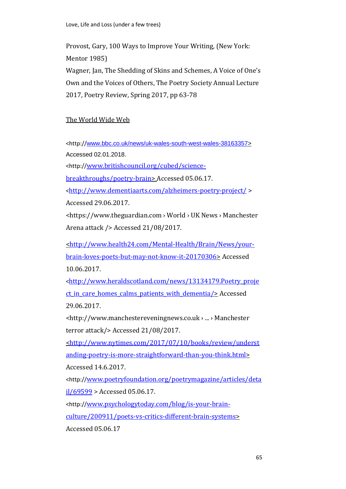Provost, Gary, 100 Ways to Improve Your Writing*,* (New York: Mentor 1985) Wagner, Jan, The Shedding of Skins and Schemes, A Voice of One's Own and the Voices of Others, The Poetry Society Annual Lecture 2017, Poetry Review, Spring 2017, pp 63-78

### The World Wide Web

<http://[www.bbc.co.uk/news/uk-wales-south-west-wales-38163357>](http://www.bbc.co.uk/news/uk-wales-south-west-wales-38163357) Accessed 02.01.2018.

<http://[www.britishcouncil.org/cubed/science-](http://www.britishcouncil.org/cubed/science-breakthroughs/poetry-brain)

[breakthroughs/poetry-brain>](http://www.britishcouncil.org/cubed/science-breakthroughs/poetry-brain) Accessed 05.06.17.

<<http://www.dementiaarts.com/alzheimers-poetry-project/> > Accessed 29.06.2017.

<https://www.theguardian.com › World › UK News › Manchester

Arena attack /> Accessed 21/08/2017.

[<http://www.health24.com/Mental-Health/Brain/News/your](http://www.health24.com/Mental-Health/Brain/News/your-brain-loves-poets-but-may-not-know-it-20170306)[brain-loves-poets-but-may-not-know-it-20170306>](http://www.health24.com/Mental-Health/Brain/News/your-brain-loves-poets-but-may-not-know-it-20170306) Accessed 10.06.2017.

<[http://www.heraldscotland.com/news/13134179.Poetry\\_proje](http://www.heraldscotland.com/news/13134179.Poetry_project_in_care_homes_calms_patients_with_dementia/) ct in care homes calms patients with dementia/> Accessed 29.06.2017.

<http://www.manchestereveningnews.co.uk › ... › Manchester terror attack/> Accessed 21/08/2017.

[<http://www.nytimes.com/2017/07/10/books/review/underst](http://www.nytimes.com/2017/07/10/books/review/understanding-poetry-is-more-straightforward-than-you-think.html) [anding-poetry-is-more-straightforward-than-you-think.html>](http://www.nytimes.com/2017/07/10/books/review/understanding-poetry-is-more-straightforward-than-you-think.html) Accessed 14.6.2017.

<http://[www.poetryfoundation.org/poetrymagazine/articles/deta](http://www.poetryfoundation.org/poetrymagazine/articles/detail/69599)  $i$  $1/69599$  > Accessed 05.06.17.

<http://[www.psychologytoday.com/blog/is-your-brain](http://www.psychologytoday.com/blog/is-your-brain-culture/200911/poets-vs-critics-different-brain-systems)[culture/200911/poets-vs-critics-different-brain-systems>](http://www.psychologytoday.com/blog/is-your-brain-culture/200911/poets-vs-critics-different-brain-systems) Accessed 05.06.17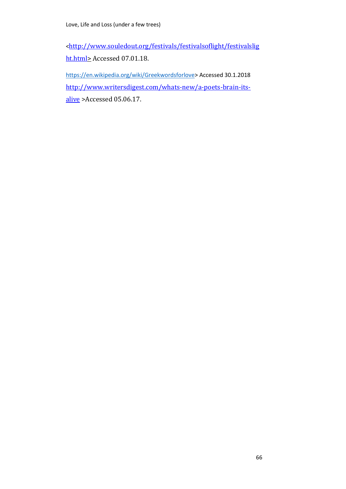<[http://www.souledout.org/festivals/festivalsoflight/festivalslig](http://www.souledout.org/festivals/festivalsoflight/festivalslight.html) [ht.html>](http://www.souledout.org/festivals/festivalsoflight/festivalslight.html) Accessed 07.01.18.

[https://en.wikipedia.org/wiki/Greekwordsforlove>](https://en.wikipedia.org/wiki/Greekwordsforlove) Accessed 30.1.2018 [http://www.writersdigest.com/whats-new/a-poets-brain-its](http://www.writersdigest.com/whats-new/a-poets-brain-its-alive)[alive](http://www.writersdigest.com/whats-new/a-poets-brain-its-alive) >Accessed 05.06.17.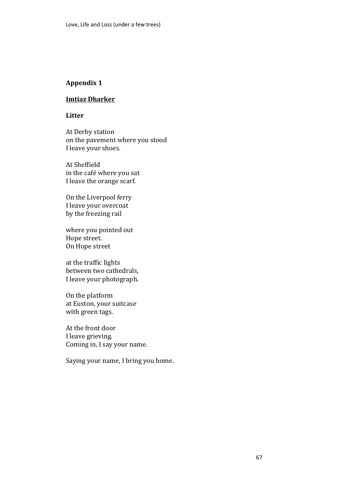# **Appendix 1**

### **Imtiaz Dharker**

#### **Litter**

At Derby station on the pavement where you stood I leave your shoes.

At Sheffield in the café where you sat I leave the orange scarf.

On the Liverpool ferry I leave your overcoat by the freezing rail

where you pointed out Hope street. On Hope street

at the traffic lights between two cathedrals, I leave your photograph.

On the platform at Euston, your suitcase with green tags.

At the front door I leave grieving. Coming in, I say your name.

Saying your name, I bring you home.